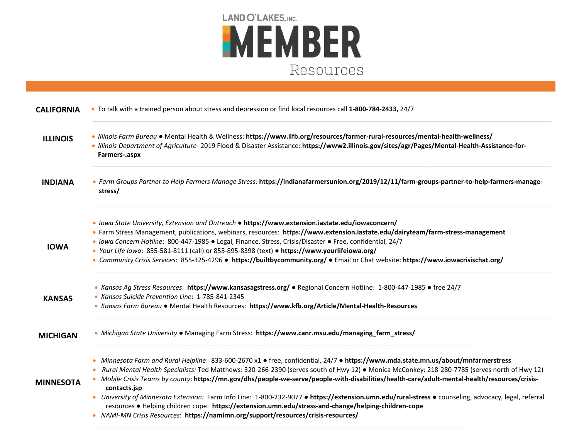

| <b>CALIFORNIA</b> | • To talk with a trained person about stress and depression or find local resources call 1-800-784-2433, 24/7                                                                                                                                                                                                                                                                                                                                                                                                                                                                                                                                                                                                                                                                                               |
|-------------------|-------------------------------------------------------------------------------------------------------------------------------------------------------------------------------------------------------------------------------------------------------------------------------------------------------------------------------------------------------------------------------------------------------------------------------------------------------------------------------------------------------------------------------------------------------------------------------------------------------------------------------------------------------------------------------------------------------------------------------------------------------------------------------------------------------------|
| <b>ILLINOIS</b>   | . Illinois Farm Bureau . Mental Health & Wellness: https://www.ilfb.org/resources/farmer-rural-resources/mental-health-wellness/<br>· Illinois Department of Agriculture-2019 Flood & Disaster Assistance: https://www2.illinois.gov/sites/agr/Pages/Mental-Health-Assistance-for-<br>Farmers-.aspx                                                                                                                                                                                                                                                                                                                                                                                                                                                                                                         |
| <b>INDIANA</b>    | • Farm Groups Partner to Help Farmers Manage Stress: https://indianafarmersunion.org/2019/12/11/farm-groups-partner-to-help-farmers-manage-<br>stress/                                                                                                                                                                                                                                                                                                                                                                                                                                                                                                                                                                                                                                                      |
| <b>IOWA</b>       | • Iowa State University, Extension and Outreach • https://www.extension.iastate.edu/iowaconcern/<br>• Farm Stress Management, publications, webinars, resources: https://www.extension.iastate.edu/dairyteam/farm-stress-management<br>• Iowa Concern Hotline: 800-447-1985 • Legal, Finance, Stress, Crisis/Disaster • Free, confidential, 24/7<br>• Your Life Iowa: 855-581-8111 (call) or 855-895-8398 (text) • https://www.yourlifeiowa.org/<br>• Community Crisis Services: 855-325-4296 • https://builtbycommunity.org/ • Email or Chat website: https://www.iowacrisischat.org/                                                                                                                                                                                                                      |
| <b>KANSAS</b>     | • Kansas Ag Stress Resources: https://www.kansasagstress.org/ • Regional Concern Hotline: 1-800-447-1985 • free 24/7<br>• Kansas Suicide Prevention Line: 1-785-841-2345<br>• Kansas Farm Bureau • Mental Health Resources: https://www.kfb.org/Article/Mental-Health-Resources                                                                                                                                                                                                                                                                                                                                                                                                                                                                                                                             |
| <b>MICHIGAN</b>   | • Michigan State University • Managing Farm Stress: https://www.canr.msu.edu/managing_farm_stress/                                                                                                                                                                                                                                                                                                                                                                                                                                                                                                                                                                                                                                                                                                          |
| <b>MINNESOTA</b>  | • Minnesota Farm and Rural Helpline: 833-600-2670 x1 • free, confidential, 24/7 • https://www.mda.state.mn.us/about/mnfarmerstress<br>Rural Mental Health Specialists: Ted Matthews: 320-266-2390 (serves south of Hwy 12) · Monica McConkey: 218-280-7785 (serves north of Hwy 12)<br>• Mobile Crisis Teams by county: https://mn.gov/dhs/people-we-serve/people-with-disabilities/health-care/adult-mental-health/resources/crisis-<br>contacts.jsp<br>• University of Minnesota Extension: Farm Info Line: 1-800-232-9077 · https://extension.umn.edu/rural-stress · counseling, advocacy, legal, referral<br>resources . Helping children cope: https://extension.umn.edu/stress-and-change/helping-children-cope<br>• NAMI-MN Crisis Resources: https://namimn.org/support/resources/crisis-resources/ |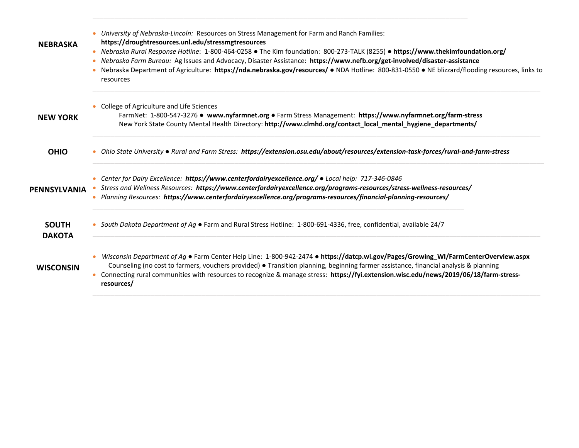| <b>NEBRASKA</b>               | • University of Nebraska-Lincoln: Resources on Stress Management for Farm and Ranch Families:<br>https://droughtresources.unl.edu/stressmgtresources<br>• Nebraska Rural Response Hotline: 1-800-464-0258 • The Kim foundation: 800-273-TALK (8255) • https://www.thekimfoundation.org/<br>• Nebraska Farm Bureau: Ag Issues and Advocacy, Disaster Assistance: https://www.nefb.org/get-involved/disaster-assistance<br>• Nebraska Department of Agriculture: https://nda.nebraska.gov/resources/ • NDA Hotline: 800-831-0550 • NE blizzard/flooding resources, links to<br>resources |
|-------------------------------|----------------------------------------------------------------------------------------------------------------------------------------------------------------------------------------------------------------------------------------------------------------------------------------------------------------------------------------------------------------------------------------------------------------------------------------------------------------------------------------------------------------------------------------------------------------------------------------|
| <b>NEW YORK</b>               | • College of Agriculture and Life Sciences<br>FarmNet: 1-800-547-3276 · www.nyfarmnet.org · Farm Stress Management: https://www.nyfarmnet.org/farm-stress<br>New York State County Mental Health Directory: http://www.clmhd.org/contact_local_mental_hygiene_departments/                                                                                                                                                                                                                                                                                                             |
| <b>OHIO</b>                   | • Ohio State University • Rural and Farm Stress: https://extension.osu.edu/about/resources/extension-task-forces/rural-and-farm-stress                                                                                                                                                                                                                                                                                                                                                                                                                                                 |
| PENNSYLVANIA                  | • Center for Dairy Excellence: https://www.centerfordairyexcellence.org/ • Local help: 717-346-0846<br>• Stress and Wellness Resources: https://www.centerfordairyexcellence.org/programs-resources/stress-wellness-resources/<br>• Planning Resources: https://www.centerfordairyexcellence.org/programs-resources/financial-planning-resources/                                                                                                                                                                                                                                      |
| <b>SOUTH</b><br><b>DAKOTA</b> | • South Dakota Department of Ag • Farm and Rural Stress Hotline: 1-800-691-4336, free, confidential, available 24/7                                                                                                                                                                                                                                                                                                                                                                                                                                                                    |
| <b>WISCONSIN</b>              | Wisconsin Department of Ag · Farm Center Help Line: 1-800-942-2474 · https://datcp.wi.gov/Pages/Growing_WI/FarmCenterOverview.aspx<br>Counseling (no cost to farmers, vouchers provided) · Transition planning, beginning farmer assistance, financial analysis & planning<br>• Connecting rural communities with resources to recognize & manage stress: https://fyi.extension.wisc.edu/news/2019/06/18/farm-stress-<br>resources/                                                                                                                                                    |